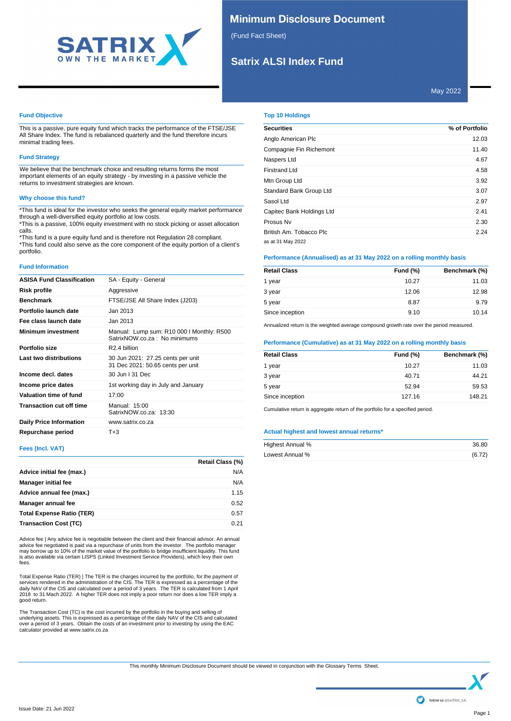

# **Minimum Disclosure Document**

(Fund Fact Sheet)

# **Satrix ALSI Index Fund**

May 2022

# **Fund Objective**

This is a passive, pure equity fund which tracks the performance of the FTSE/JSE All Share Index. The fund is rebalanced quarterly and the fund therefore incurs minimal trading fees.

## **Fund Strategy**

We believe that the benchmark choice and resulting returns forms the most important elements of an equity strategy - by investing in a passive vehicle the returns to investment strategies are known.

## **Why choose this fund?**

\*This fund is ideal for the investor who seeks the general equity market performance through a well-diversified equity portfolio at low costs. \*This is a passive, 100% equity investment with no stock picking or asset allocation

calls. \*This fund is a pure equity fund and is therefore not Regulation 28 compliant.

\*This fund could also serve as the core component of the equity portion of a client's portfolio.

# **Fund Information**

| <b>ASISA Fund Classification</b> | SA - Equity - General                                                     |
|----------------------------------|---------------------------------------------------------------------------|
| Risk profile                     | Aggressive                                                                |
| <b>Benchmark</b>                 | FTSE/JSE All Share Index (J203)                                           |
| Portfolio launch date            | Jan 2013                                                                  |
| Fee class launch date            | Jan 2013                                                                  |
| <b>Minimum investment</b>        | Manual: Lump sum: R10 000 I Monthly: R500<br>SatrixNOW.co.za: No minimums |
| Portfolio size                   | R <sub>2.4</sub> billion                                                  |
| Last two distributions           | 30 Jun 2021: 27.25 cents per unit<br>31 Dec 2021: 50.65 cents per unit    |
| Income decl. dates               | 30 Jun I 31 Dec                                                           |
| Income price dates               | 1st working day in July and January                                       |
| Valuation time of fund           | 17:00                                                                     |
| <b>Transaction cut off time</b>  | Manual: 15:00<br>SatrixNOW.co.za: 13:30                                   |
| <b>Daily Price Information</b>   | www.satrix.co.za                                                          |
| Repurchase period                | $T + 3$                                                                   |

## **Fees (Incl. VAT)**

|                                  | Retail Class (%) |
|----------------------------------|------------------|
| Advice initial fee (max.)        | N/A              |
| <b>Manager initial fee</b>       | N/A              |
| Advice annual fee (max.)         | 1.15             |
| Manager annual fee               | 0.52             |
| <b>Total Expense Ratio (TER)</b> | 0.57             |
| <b>Transaction Cost (TC)</b>     | 0.21             |

Advice fee | Any advice fee is negotiable between the client and their financial advisor. An annual<br>advice fee negotiated is paid via a repurchase of units from the investor. The portfolio manager<br>may borrow up to 10% of t is also available via certain LISPS (Linked Investment Service Providers), which levy their own fees.

Total Expense Ratio (TER) | The TER is the charges incurred by the portfolio, for the payment of services rendered in the administration of the CIS. The TER is expressed as a percentage of the daily NAV of the CIS and calculated over a period of 3 years. The TER is calculated from 1 April 2018 to 31 Mach 2022. A higher TER does not imply a poor return nor does a low TER imply a good return.

The Transaction Cost (TC) is the cost incurred by the portfolio in the buying and selling of<br>underlying assets. This is expressed as a percentage of the daily NAV of the CIS and calculated<br>over a period of 3 years. Obtain

# **Top 10 Holdings**

| <b>Securities</b>         | % of Portfolio |
|---------------------------|----------------|
| Anglo American Plc        | 12.03          |
| Compagnie Fin Richemont   | 11.40          |
| Naspers Ltd               | 4.67           |
| <b>Firstrand Ltd</b>      | 4.58           |
| Mtn Group Ltd             | 3.92           |
| Standard Bank Group Ltd   | 3.07           |
| Sasol Ltd                 | 2.97           |
| Capitec Bank Holdings Ltd | 2.41           |
| Prosus Nv                 | 2.30           |
| British Am. Tobacco Plc   | 2.24           |
| as at 31 May 2022         |                |

# **Performance (Annualised) as at 31 May 2022 on a rolling monthly basis**

| <b>Retail Class</b> | <b>Fund (%)</b> | Benchmark (%) |
|---------------------|-----------------|---------------|
| 1 year              | 10.27           | 11.03         |
| 3 year              | 12.06           | 12.98         |
| 5 year              | 8.87            | 9.79          |
| Since inception     | 9.10            | 10.14         |

Annualized return is the weighted average compound growth rate over the period measured.

## **Performance (Cumulative) as at 31 May 2022 on a rolling monthly basis**

| <b>Retail Class</b> | Fund $(\%)$ | Benchmark (%) |
|---------------------|-------------|---------------|
| 1 year              | 10.27       | 11.03         |
| 3 year              | 40.71       | 44.21         |
| 5 year              | 52.94       | 59.53         |
| Since inception     | 127.16      | 148.21        |

Cumulative return is aggregate return of the portfolio for a specified period.

## **Actual highest and lowest annual returns\***

| Highest Annual % | 36.80  |
|------------------|--------|
| Lowest Annual %  | (6.72) |

This monthly Minimum Disclosure Document should be viewed in conjunction with the Glossary Terms Sheet.

follow us @SATRIX\_SA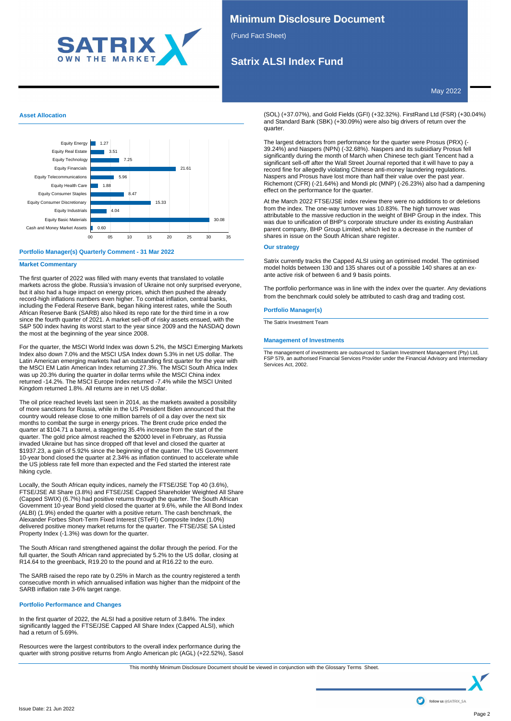

# **Minimum Disclosure Document**

(Fund Fact Sheet)

# **Satrix ALSI Index Fund**

May 2022

# **Asset Allocation**



# **Portfolio Manager(s) Quarterly Comment - 31 Mar 2022**

## **Market Commentary**

The first quarter of 2022 was filled with many events that translated to volatile markets across the globe. Russia's invasion of Ukraine not only surprised everyone, but it also had a huge impact on energy prices, which then pushed the already record-high inflations numbers even higher. To combat inflation, central banks, including the Federal Reserve Bank, began hiking interest rates, while the South African Reserve Bank (SARB) also hiked its repo rate for the third time in a row since the fourth quarter of 2021. A market sell-off of risky assets ensued, with the S&P 500 index having its worst start to the year since 2009 and the NASDAQ down the most at the beginning of the year since 2008.

For the quarter, the MSCI World Index was down 5.2%, the MSCI Emerging Markets Index also down 7.0% and the MSCI USA Index down 5.3% in net US dollar. The Latin American emerging markets had an outstanding first quarter for the year with the MSCI EM Latin American Index returning 27.3%. The MSCI South Africa Index was up 20.3% during the quarter in dollar terms while the MSCI China index returned -14.2%. The MSCI Europe Index returned -7.4% while the MSCI United Kingdom returned 1.8%. All returns are in net US dollar.

The oil price reached levels last seen in 2014, as the markets awaited a possibility of more sanctions for Russia, while in the US President Biden announced that the country would release close to one million barrels of oil a day over the next six months to combat the surge in energy prices. The Brent crude price ended the quarter at \$104.71 a barrel, a staggering 35.4% increase from the start of the quarter. The gold price almost reached the \$2000 level in February, as Russia invaded Ukraine but has since dropped off that level and closed the quarter at \$1937.23, a gain of 5.92% since the beginning of the quarter. The US Government 10-year bond closed the quarter at 2.34% as inflation continued to accelerate while the US jobless rate fell more than expected and the Fed started the interest rate hiking cycle.

Locally, the South African equity indices, namely the FTSE/JSE Top 40 (3.6%), FTSE/JSE All Share (3.8%) and FTSE/JSE Capped Shareholder Weighted All Share (Capped SWIX) (6.7%) had positive returns through the quarter. The South African Government 10-year Bond yield closed the quarter at 9.6%, while the All Bond Index (ALBI) (1.9%) ended the quarter with a positive return. The cash benchmark, the Alexander Forbes Short-Term Fixed Interest (STeFI) Composite Index (1.0%) delivered positive money market returns for the quarter. The FTSE/JSE SA Listed Property Index (-1.3%) was down for the quarter.

The South African rand strengthened against the dollar through the period. For the full quarter, the South African rand appreciated by 5.2% to the US dollar, closing at R14.64 to the greenback, R19.20 to the pound and at R16.22 to the euro.

The SARB raised the repo rate by 0.25% in March as the country registered a tenth consecutive month in which annualised inflation was higher than the midpoint of the SARB inflation rate 3-6% target range.

## **Portfolio Performance and Changes**

In the first quarter of 2022, the ALSI had a positive return of 3.84%. The index significantly lagged the FTSE/JSE Capped All Share Index (Capped ALSI), which had a return of 5.69%.

Resources were the largest contributors to the overall index performance during the quarter with strong positive returns from Anglo American plc (AGL) (+22.52%), Sasol  $S_{\rm 37.07}$ 

(SOL) (+37.07%), and Gold Fields (GFI) (+32.32%). FirstRand Ltd (FSR) (+30.04%) and Standard Bank (SBK) (+30.09%) were also big drivers of return over the quarter.

The largest detractors from performance for the quarter were Prosus (PRX) (-39.24%) and Naspers (NPN) (-32.68%). Naspers and its subsidiary Prosus fell significantly during the month of March when Chinese tech giant Tencent had a significant sell-off after the Wall Street Journal reported that it will have to pay a record fine for allegedly violating Chinese anti-money laundering regulations. Naspers and Prosus have lost more than half their value over the past year. Richemont (CFR) (-21.64%) and Mondi plc (MNP) (-26.23%) also had a dampening effect on the performance for the quarter.

At the March 2022 FTSE/JSE index review there were no additions to or deletions from the index. The one-way turnover was 10.83%. The high turnover was attributable to the massive reduction in the weight of BHP Group in the index. This was due to unification of BHP's corporate structure under its existing Australian parent company, BHP Group Limited, which led to a decrease in the number of shares in issue on the South African share register.

## **Our strategy**

Satrix currently tracks the Capped ALSI using an optimised model. The optimised model holds between 130 and 135 shares out of a possible 140 shares at an exante active risk of between 6 and 9 basis points.

The portfolio performance was in line with the index over the quarter. Any deviations from the benchmark could solely be attributed to cash drag and trading cost.

# **Portfolio Manager(s)**

The Satrix Investment Team

## **Management of Investments**

The management of investments are outsourced to Sanlam Investment Management (Pty) Ltd, FSP 579, an authorised Financial Services Provider under the Financial Advisory and Intermediary Services Act, 2002.

This monthly Minimum Disclosure Document should be viewed in conjunction with the Glossary Terms Sheet.